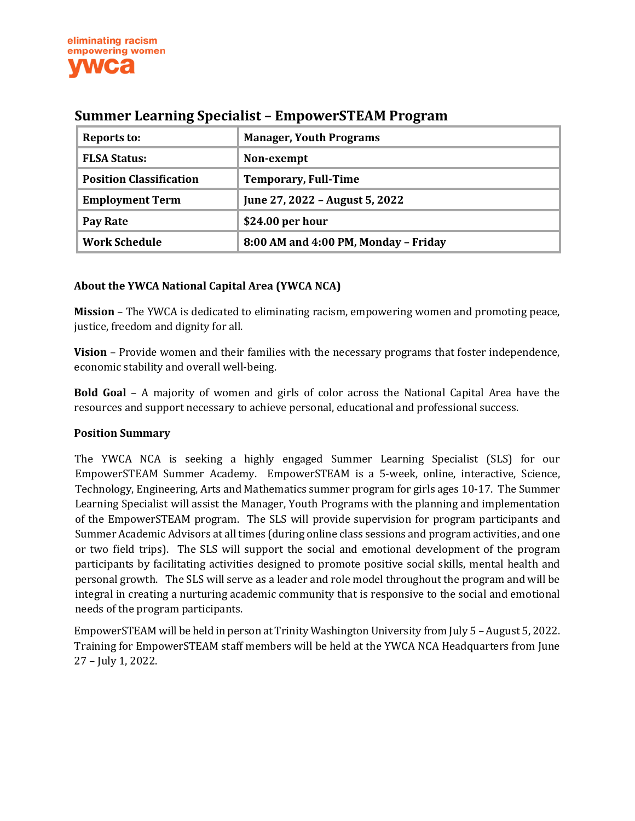| Reports to:                    | <b>Manager, Youth Programs</b>       |
|--------------------------------|--------------------------------------|
| <b>FLSA Status:</b>            | Non-exempt                           |
| <b>Position Classification</b> | <b>Temporary, Full-Time</b>          |
| <b>Employment Term</b>         | June 27, 2022 - August 5, 2022       |
| Pay Rate                       | \$24.00 per hour                     |
| <b>Work Schedule</b>           | 8:00 AM and 4:00 PM, Monday - Friday |

# **Summer Learning Specialist – EmpowerSTEAM Program**

# **About the YWCA National Capital Area (YWCA NCA)**

**Mission** – The YWCA is dedicated to eliminating racism, empowering women and promoting peace, justice, freedom and dignity for all.

**Vision** – Provide women and their families with the necessary programs that foster independence, economic stability and overall well-being.

**Bold Goal** – A majority of women and girls of color across the National Capital Area have the resources and support necessary to achieve personal, educational and professional success.

#### **Position Summary**

The YWCA NCA is seeking a highly engaged Summer Learning Specialist (SLS) for our EmpowerSTEAM Summer Academy. EmpowerSTEAM is a 5-week, online, interactive, Science, Technology, Engineering, Arts and Mathematics summer program for girls ages 10-17. The Summer Learning Specialist will assist the Manager, Youth Programs with the planning and implementation of the EmpowerSTEAM program. The SLS will provide supervision for program participants and Summer Academic Advisors at all times (during online class sessions and program activities, and one or two field trips). The SLS will support the social and emotional development of the program participants by facilitating activities designed to promote positive social skills, mental health and personal growth. The SLS will serve as a leader and role model throughout the program and will be integral in creating a nurturing academic community that is responsive to the social and emotional needs of the program participants.

EmpowerSTEAM will be held in person at Trinity Washington University from July 5 – August 5, 2022. Training for EmpowerSTEAM staff members will be held at the YWCA NCA Headquarters from June 27 – July 1, 2022.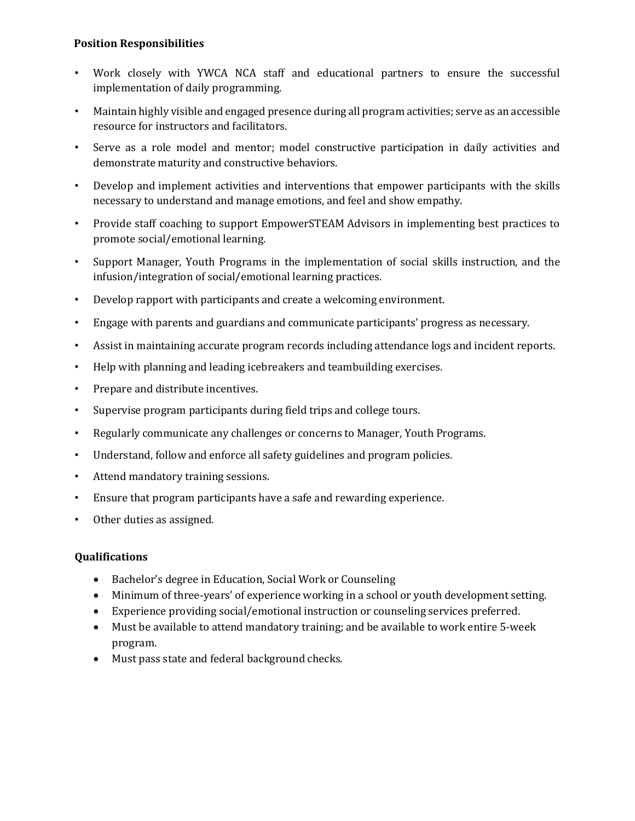### **Position Responsibilities**

- Work closely with YWCA NCA staff and educational partners to ensure the successful implementation of daily programming.
- Maintain highly visible and engaged presence during all program activities; serve as an accessible resource for instructors and facilitators.
- Serve as a role model and mentor; model constructive participation in daily activities and demonstrate maturity and constructive behaviors.
- Develop and implement activities and interventions that empower participants with the skills necessary to understand and manage emotions, and feel and show empathy.
- Provide staff coaching to support EmpowerSTEAM Advisors in implementing best practices to promote social/emotional learning.
- Support Manager, Youth Programs in the implementation of social skills instruction, and the infusion/integration of social/emotional learning practices.
- Develop rapport with participants and create a welcoming environment.
- Engage with parents and guardians and communicate participants' progress as necessary.
- Assist in maintaining accurate program records including attendance logs and incident reports.
- Help with planning and leading icebreakers and teambuilding exercises.
- Prepare and distribute incentives.
- Supervise program participants during field trips and college tours.
- Regularly communicate any challenges or concerns to Manager, Youth Programs.
- Understand, follow and enforce all safety guidelines and program policies.
- Attend mandatory training sessions.
- Ensure that program participants have a safe and rewarding experience.
- Other duties as assigned.

#### **Qualifications**

- Bachelor's degree in Education, Social Work or Counseling
- Minimum of three-years' of experience working in a school or youth development setting.
- Experience providing social/emotional instruction or counseling services preferred.
- Must be available to attend mandatory training; and be available to work entire 5-week program.
- Must pass state and federal background checks.